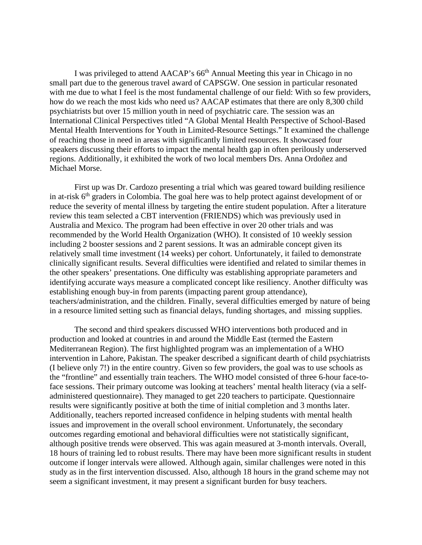I was privileged to attend AACAP's 66<sup>th</sup> Annual Meeting this year in Chicago in no small part due to the generous travel award of CAPSGW. One session in particular resonated with me due to what I feel is the most fundamental challenge of our field: With so few providers, how do we reach the most kids who need us? AACAP estimates that there are only 8,300 child psychiatrists but over 15 million youth in need of psychiatric care. The session was an International Clinical Perspectives titled "A Global Mental Health Perspective of School-Based Mental Health Interventions for Youth in Limited-Resource Settings." It examined the challenge of reaching those in need in areas with significantly limited resources. It showcased four speakers discussing their efforts to impact the mental health gap in often perilously underserved regions. Additionally, it exhibited the work of two local members Drs. Anna Ordoñez and Michael Morse.

First up was Dr. Cardozo presenting a trial which was geared toward building resilience in at-risk 6<sup>th</sup> graders in Colombia. The goal here was to help protect against development of or reduce the severity of mental illness by targeting the entire student population. After a literature review this team selected a CBT intervention (FRIENDS) which was previously used in Australia and Mexico. The program had been effective in over 20 other trials and was recommended by the World Health Organization (WHO). It consisted of 10 weekly session including 2 booster sessions and 2 parent sessions. It was an admirable concept given its relatively small time investment (14 weeks) per cohort. Unfortunately, it failed to demonstrate clinically significant results. Several difficulties were identified and related to similar themes in the other speakers' presentations. One difficulty was establishing appropriate parameters and identifying accurate ways measure a complicated concept like resiliency. Another difficulty was establishing enough buy-in from parents (impacting parent group attendance), teachers/administration, and the children. Finally, several difficulties emerged by nature of being in a resource limited setting such as financial delays, funding shortages, and missing supplies.

The second and third speakers discussed WHO interventions both produced and in production and looked at countries in and around the Middle East (termed the Eastern Mediterranean Region). The first highlighted program was an implementation of a WHO intervention in Lahore, Pakistan. The speaker described a significant dearth of child psychiatrists (I believe only 7!) in the entire country. Given so few providers, the goal was to use schools as the "frontline" and essentially train teachers. The WHO model consisted of three 6-hour face-toface sessions. Their primary outcome was looking at teachers' mental health literacy (via a selfadministered questionnaire). They managed to get 220 teachers to participate. Questionnaire results were significantly positive at both the time of initial completion and 3 months later. Additionally, teachers reported increased confidence in helping students with mental health issues and improvement in the overall school environment. Unfortunately, the secondary outcomes regarding emotional and behavioral difficulties were not statistically significant, although positive trends were observed. This was again measured at 3-month intervals. Overall, 18 hours of training led to robust results. There may have been more significant results in student outcome if longer intervals were allowed. Although again, similar challenges were noted in this study as in the first intervention discussed. Also, although 18 hours in the grand scheme may not seem a significant investment, it may present a significant burden for busy teachers.